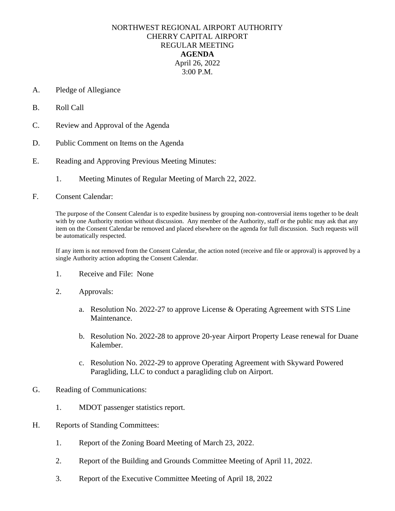## NORTHWEST REGIONAL AIRPORT AUTHORITY CHERRY CAPITAL AIRPORT REGULAR MEETING **AGENDA** April 26, 2022 3:00 P.M.

- A. Pledge of Allegiance
- B. Roll Call
- C. Review and Approval of the Agenda
- D. Public Comment on Items on the Agenda
- E. Reading and Approving Previous Meeting Minutes:
	- 1. Meeting Minutes of Regular Meeting of March 22, 2022.
- F. Consent Calendar:

The purpose of the Consent Calendar is to expedite business by grouping non-controversial items together to be dealt with by one Authority motion without discussion. Any member of the Authority, staff or the public may ask that any item on the Consent Calendar be removed and placed elsewhere on the agenda for full discussion. Such requests will be automatically respected.

If any item is not removed from the Consent Calendar, the action noted (receive and file or approval) is approved by a single Authority action adopting the Consent Calendar.

- 1. Receive and File: None
- 2. Approvals:
	- a. Resolution No. 2022-27 to approve License & Operating Agreement with STS Line Maintenance.
	- b. Resolution No. 2022-28 to approve 20-year Airport Property Lease renewal for Duane Kalember.
	- c. Resolution No. 2022-29 to approve Operating Agreement with Skyward Powered Paragliding, LLC to conduct a paragliding club on Airport.
- G. Reading of Communications:
	- 1. MDOT passenger statistics report.
- H. Reports of Standing Committees:
	- 1. Report of the Zoning Board Meeting of March 23, 2022.
	- 2. Report of the Building and Grounds Committee Meeting of April 11, 2022.
	- 3. Report of the Executive Committee Meeting of April 18, 2022